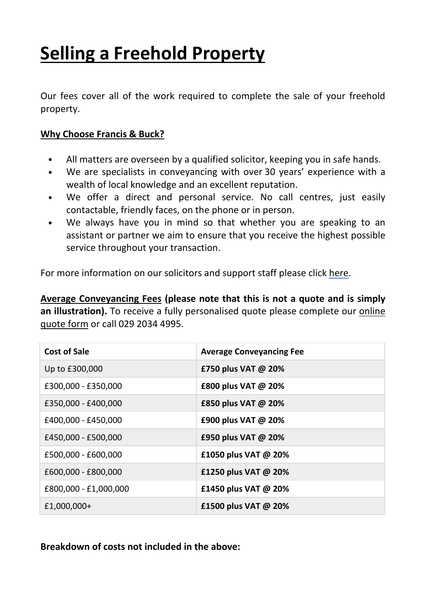# **Selling a Freehold Property**

Our fees cover all of the work required to complete the sale of your freehold property.

#### **Why Choose Francis & Buck?**

- **•** All matters are overseen by a qualified solicitor, keeping you in safe hands.
- **•** We are specialists in conveyancing with over 30 years' experience with a wealth of local knowledge and an excellent reputation.
- **•** We offer a direct and personal service. No call centres, just easily contactable, friendly faces, on the phone or in person.
- **•** We always have you in mind so that whether you are speaking to an assistant or partner we aim to ensure that you receive the highest possible service throughout your transaction.

For more information on our solicitors and support staff please click [here.](http://francisandbuck.co.uk/meet-the-team/)

**Average Conveyancing Fees (please note that this is not a quote and is simply an illustration).** To receive a fully personalised quote please complete our [online](http://francisandbuck.co.uk/contact-us/) [quote](http://francisandbuck.co.uk/contact-us/) form or call 029 2034 4995.

| <b>Cost of Sale</b>   | <b>Average Conveyancing Fee</b> |
|-----------------------|---------------------------------|
| Up to £300,000        | £750 plus VAT @ 20%             |
| £300,000 - £350,000   | £800 plus VAT @ 20%             |
| £350,000 - £400,000   | £850 plus VAT @ 20%             |
| £400,000 - £450,000   | £900 plus VAT @ 20%             |
| £450,000 - £500,000   | £950 plus VAT @ 20%             |
| £500,000 - £600,000   | £1050 plus VAT @ 20%            |
| £600,000 - £800,000   | £1250 plus VAT @ 20%            |
| £800,000 - £1,000,000 | £1450 plus VAT @ 20%            |
| £1,000,000+           | £1500 plus VAT @ 20%            |

**Breakdown of costs not included in the above:**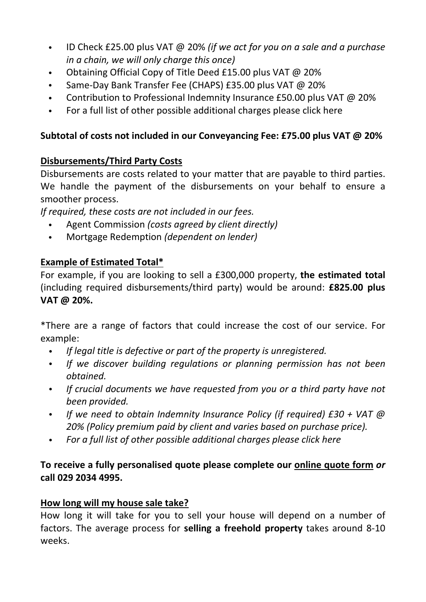- ID Check £25.00 plus VAT @ 20% *(if we act for you on a sale and a purchase in a chain, we will only charge this once)*
- Obtaining Official Copy of Title Deed £15.00 plus VAT @ 20%
- Same-Day Bank Transfer Fee (CHAPS) £35.00 plus VAT @ 20%
- Contribution to Professional Indemnity Insurance £50.00 plus VAT @ 20%
- For a full list of other possible additional charges please click here

## **Subtotal of costs not included in our Conveyancing Fee: £75.00 plus VAT @ 20%**

# **Disbursements/Third Party Costs**

Disbursements are costs related to your matter that are payable to third parties. We handle the payment of the disbursements on your behalf to ensure a smoother process.

*If required, these costs are not included in our fees.*

- Agent Commission *(costs agreed by client directly)*
- Mortgage Redemption *(dependent on lender)*

# **Example of Estimated Total\***

For example, if you are looking to sell a £300,000 property, **the estimated total** (including required disbursements/third party) would be around: **£825.00 plus VAT @ 20%.**

\*There are a range of factors that could increase the cost of our service. For example:

- *• If legal title is defective or part of the property is unregistered.*
- *• If we discover building regulations or planning permission has not been obtained.*
- *• If crucial documents we have requested from you or a third party have not been provided.*
- *• If we need to obtain Indemnity Insurance Policy (if required) £30 + VAT @ 20% (Policy premium paid by client and varies based on purchase price).*
- *• For a full list of other possible additional charges please click here*

## **To receive a fully personalised quote please complete our [online](http://francisandbuck.co.uk/contact-us/) quote form** *or* **call 029 2034 4995.**

## **How long will my house sale take?**

How long it will take for you to sell your house will depend on a number of factors. The average process for **selling a freehold property** takes around 8-10 weeks.